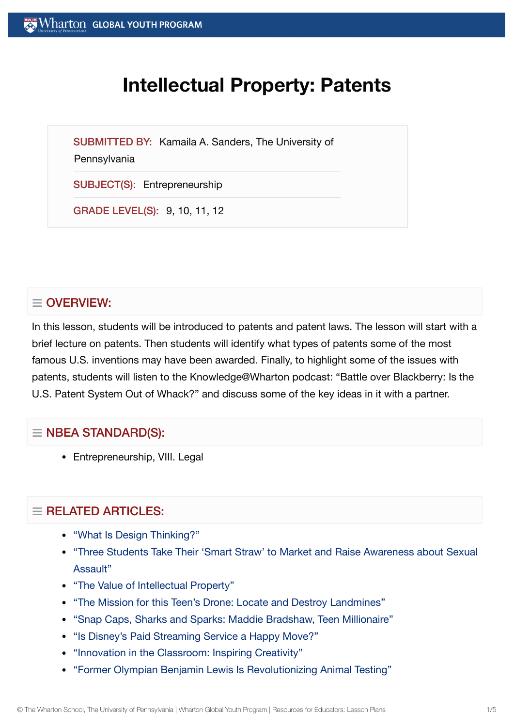# **Intellectual Property: Patents**

SUBMITTED BY: Kamaila A. Sanders, The University of

#### **Pennsylvania**

SUBJECT(S): Entrepreneurship

GRADE LEVEL(S): 9, 10, 11, 12

# $\equiv$  OVERVIEW:

In this lesson, students will be introduced to patents and patent laws. The lesson will start with a brief lecture on patents. Then students will identify what types of patents some of the most famous U.S. inventions may have been awarded. Finally, to highlight some of the issues with patents, students will listen to the Knowledge@Wharton podcast: "Battle over Blackberry: Is the U.S. Patent System Out of Whack?" and discuss some of the key ideas in it with a partner.

## $\equiv$  NBEA STANDARD(S):

• Entrepreneurship, VIII. Legal

# $=$  RELATED ARTICLES:

- "What Is Design [Thinking?"](https://globalyouth.wharton.upenn.edu/articles/what-is-design-thinking/)
- "Three Students Take Their 'Smart Straw' to Market and Raise [Awareness about](https://globalyouth.wharton.upenn.edu/articles/three-students-take-smart-straws-market-raise-awareness-sexual-assault/) Sexual Assault"
- "The Value of [Intellectual](https://globalyouth.wharton.upenn.edu/articles/the-value-of-intellectual-property/) Property"
- "The Mission for this Teen's Drone: Locate and [Destroy Landmines"](https://globalyouth.wharton.upenn.edu/articles/drone-detects-detonates-landmines-saves-lives/)
- "Snap Caps, [Sharks and](https://globalyouth.wharton.upenn.edu/articles/snap-caps-sharks-and-sparks-maddie-bradshaw-teen-millionaire/) Sparks: Maddie Bradshaw, Teen Millionaire"
- ["Is Disney's Paid](https://globalyouth.wharton.upenn.edu/articles/disneys-paid-streaming-service-happy-move/) Streaming Service a Happy Move?"
- ["Innovation](https://globalyouth.wharton.upenn.edu/articles/innovation-classroom-inspiring-creativity/) in the Classroom: Inspiring Creativity"
- "Former Olympian Benjamin Lewis Is [Revolutionizing](https://globalyouth.wharton.upenn.edu/articles/former-olympian-benjamin-lewis-revolutionizes-animal-testing/) Animal Testing"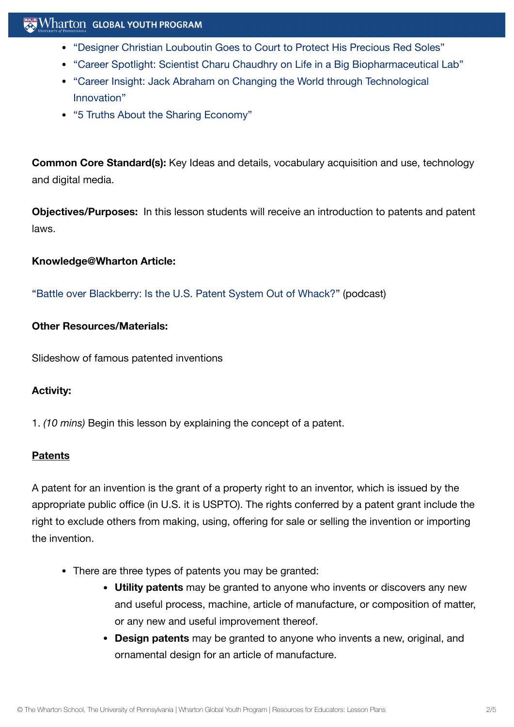# Wharton GLOBAL YOUTH PROGRAM

- "Designer Christian Louboutin Goes to Court to Protect [His Precious Red](https://globalyouth.wharton.upenn.edu/articles/designer-christian-louboutin-goes-court-protect-precious-red-soles/) Soles"
- "Career Spotlight: Scientist Charu Chaudhry on Life in a Big [Biopharmaceutical](https://globalyouth.wharton.upenn.edu/articles/career-spotlight-scientist-charu-chaudhry-on-life-in-a-big-biopharmaceutical-lab/) Lab"
- "Career Insight: Jack Abraham on Changing the World through [Technological](https://globalyouth.wharton.upenn.edu/articles/jack-abraham-on-technological-innovation/) Innovation"
- "5 [Truths About](https://globalyouth.wharton.upenn.edu/articles/5-truths-sharing-economy/) the Sharing Economy"

**Common Core Standard(s):** Key Ideas and details, vocabulary acquisition and use, technology and digital media.

**Objectives/Purposes:** In this lesson students will receive an introduction to patents and patent laws.

#### **Knowledge@Wharton Article:**

"Battle over [Blackberry:](http://knowledge.wharton.upenn.edu/article.cfm?articleid=1400) Is the U.S. Patent System Out of Whack?" (podcast)

#### **Other Resources/Materials:**

Slideshow of famous patented inventions

## **Activity:**

1. *(10 mins)* Begin this lesson by explaining the concept of a patent.

#### **Patents**

A patent for an invention is the grant of a property right to an inventor, which is issued by the appropriate public office (in U.S. it is USPTO). The rights conferred by a patent grant include the right to exclude others from making, using, offering for sale or selling the invention or importing the invention.

- There are three types of patents you may be granted:
	- **Utility patents** may be granted to anyone who invents or discovers any new and useful process, machine, article of manufacture, or composition of matter, or any new and useful improvement thereof.
	- **Design patents** may be granted to anyone who invents a new, original, and ornamental design for an article of manufacture.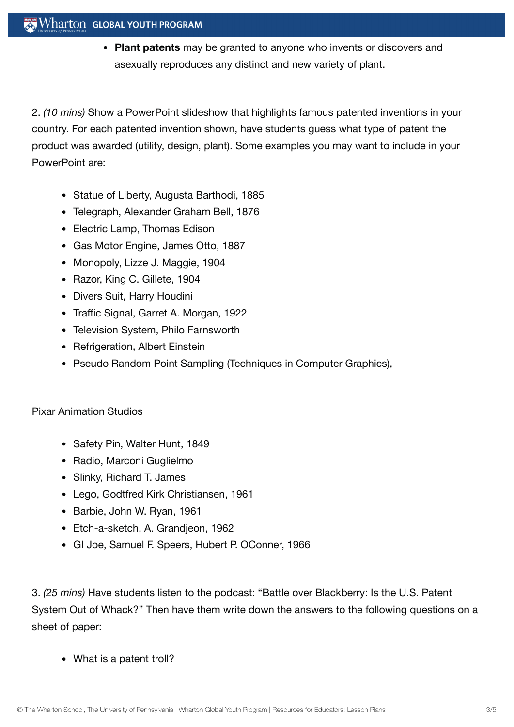## $\mathbb{R}^n$  Wharton Global Youth Program

**Plant patents** may be granted to anyone who invents or discovers and asexually reproduces any distinct and new variety of plant.

2. *(10 mins)* Show a PowerPoint slideshow that highlights famous patented inventions in your country. For each patented invention shown, have students guess what type of patent the product was awarded (utility, design, plant). Some examples you may want to include in your PowerPoint are:

- Statue of Liberty, Augusta Barthodi, 1885
- Telegraph, Alexander Graham Bell, 1876
- Electric Lamp, Thomas Edison
- Gas Motor Engine, James Otto, 1887
- Monopoly, Lizze J. Maggie, 1904
- Razor, King C. Gillete, 1904
- Divers Suit, Harry Houdini
- Traffic Signal, Garret A. Morgan, 1922
- Television System, Philo Farnsworth
- Refrigeration, Albert Einstein
- Pseudo Random Point Sampling (Techniques in Computer Graphics),

## Pixar Animation Studios

- Safety Pin, Walter Hunt, 1849
- Radio, Marconi Guglielmo
- Slinky, Richard T. James
- Lego, Godtfred Kirk Christiansen, 1961
- Barbie, John W. Ryan, 1961
- Etch-a-sketch, A. Grandjeon, 1962
- GI Joe, Samuel F. Speers, Hubert P. OConner, 1966

3. *(25 mins)* Have students listen to the podcast: "Battle over Blackberry: Is the U.S. Patent System Out of Whack?" Then have them write down the answers to the following questions on a sheet of paper:

• What is a patent troll?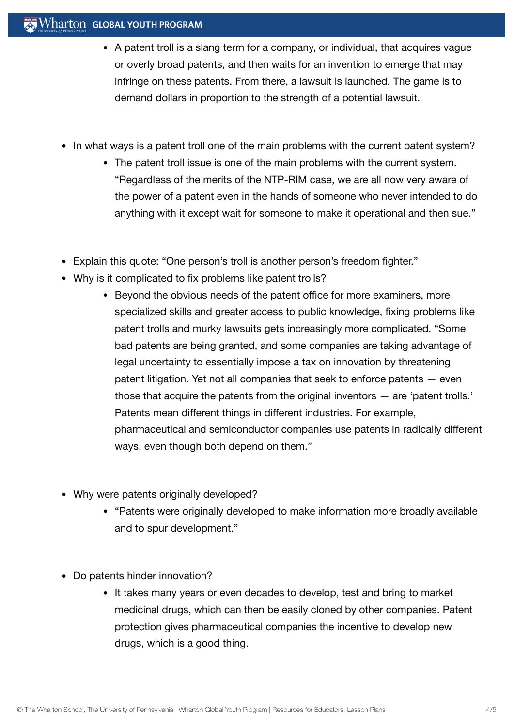# Wharton GLOBAL YOUTH PROGRAM

- A patent troll is a slang term for a company, or individual, that acquires vague or overly broad patents, and then waits for an invention to emerge that may infringe on these patents. From there, a lawsuit is launched. The game is to demand dollars in proportion to the strength of a potential lawsuit.
- In what ways is a patent troll one of the main problems with the current patent system?
	- The patent troll issue is one of the main problems with the current system. "Regardless of the merits of the NTP-RIM case, we are all now very aware of the power of a patent even in the hands of someone who never intended to do anything with it except wait for someone to make it operational and then sue."
- Explain this quote: "One person's troll is another person's freedom fighter."
- Why is it complicated to fix problems like patent trolls?
	- Beyond the obvious needs of the patent office for more examiners, more specialized skills and greater access to public knowledge, fixing problems like patent trolls and murky lawsuits gets increasingly more complicated. "Some bad patents are being granted, and some companies are taking advantage of legal uncertainty to essentially impose a tax on innovation by threatening patent litigation. Yet not all companies that seek to enforce patents — even those that acquire the patents from the original inventors — are 'patent trolls.' Patents mean different things in different industries. For example, pharmaceutical and semiconductor companies use patents in radically different ways, even though both depend on them."
- Why were patents originally developed?
	- "Patents were originally developed to make information more broadly available and to spur development."
- Do patents hinder innovation?
	- It takes many years or even decades to develop, test and bring to market medicinal drugs, which can then be easily cloned by other companies. Patent protection gives pharmaceutical companies the incentive to develop new drugs, which is a good thing.